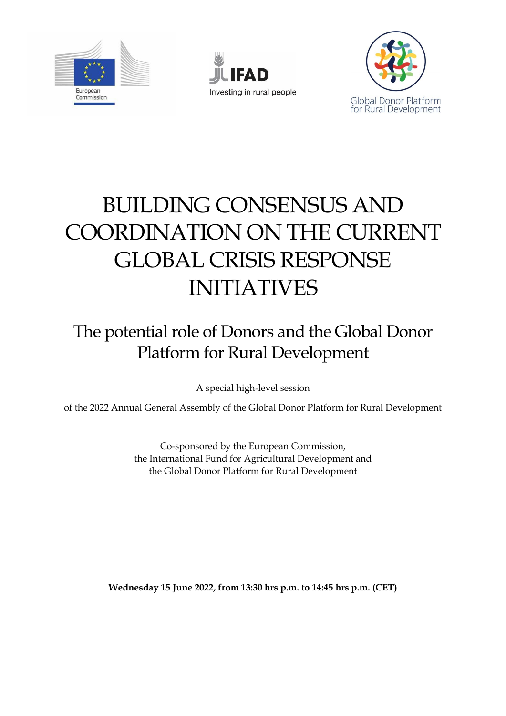





# BUILDING CONSENSUS AND COORDINATION ON THE CURRENT GLOBAL CRISIS RESPONSE INITIATIVES

## The potential role of Donors and the Global Donor Platform for Rural Development

A special high-level session

of the 2022 Annual General Assembly of the Global Donor Platform for Rural Development

Co-sponsored by the European Commission, the International Fund for Agricultural Development and the Global Donor Platform for Rural Development

**Wednesday 15 June 2022, from 13:30 hrs p.m. to 14:45 hrs p.m. (CET)**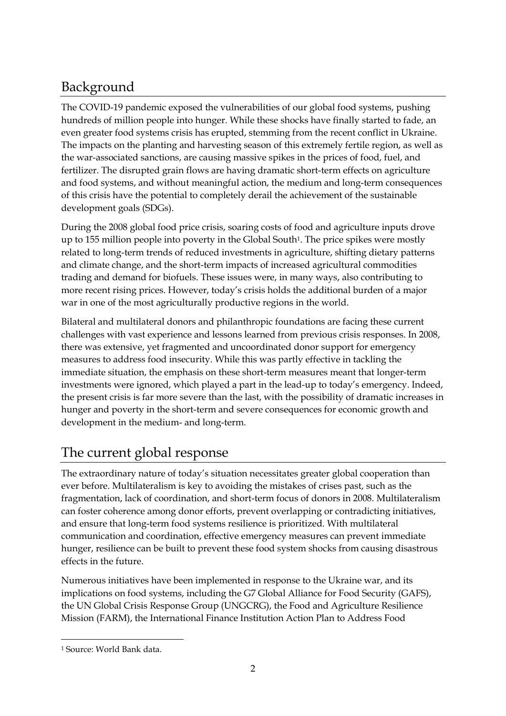### Background

The COVID-19 pandemic exposed the vulnerabilities of our global food systems, pushing hundreds of million people into hunger. While these shocks have finally started to fade, an even greater food systems crisis has erupted, stemming from the recent conflict in Ukraine. The impacts on the planting and harvesting season of this extremely fertile region, as well as the war-associated sanctions, are causing massive spikes in the prices of food, fuel, and fertilizer. The disrupted grain flows are having dramatic short-term effects on agriculture and food systems, and without meaningful action, the medium and long-term consequences of this crisis have the potential to completely derail the achievement of the sustainable development goals (SDGs).

During the 2008 global food price crisis, soaring costs of food and agriculture inputs drove up to 155 million people into poverty in the Global South<sup>1</sup>. The price spikes were mostly related to long-term trends of reduced investments in agriculture, shifting dietary patterns and climate change, and the short-term impacts of increased agricultural commodities trading and demand for biofuels. These issues were, in many ways, also contributing to more recent rising prices. However, today's crisis holds the additional burden of a major war in one of the most agriculturally productive regions in the world.

Bilateral and multilateral donors and philanthropic foundations are facing these current challenges with vast experience and lessons learned from previous crisis responses. In 2008, there was extensive, yet fragmented and uncoordinated donor support for emergency measures to address food insecurity. While this was partly effective in tackling the immediate situation, the emphasis on these short-term measures meant that longer-term investments were ignored, which played a part in the lead-up to today's emergency. Indeed, the present crisis is far more severe than the last, with the possibility of dramatic increases in hunger and poverty in the short-term and severe consequences for economic growth and development in the medium- and long-term.

#### The current global response

The extraordinary nature of today's situation necessitates greater global cooperation than ever before. Multilateralism is key to avoiding the mistakes of crises past, such as the fragmentation, lack of coordination, and short-term focus of donors in 2008. Multilateralism can foster coherence among donor efforts, prevent overlapping or contradicting initiatives, and ensure that long-term food systems resilience is prioritized. With multilateral communication and coordination, effective emergency measures can prevent immediate hunger, resilience can be built to prevent these food system shocks from causing disastrous effects in the future.

Numerous initiatives have been implemented in response to the Ukraine war, and its implications on food systems, including the G7 Global Alliance for Food Security (GAFS), the UN Global Crisis Response Group (UNGCRG), the Food and Agriculture Resilience Mission (FARM), the International Finance Institution Action Plan to Address Food

<sup>1</sup> Source: World Bank data.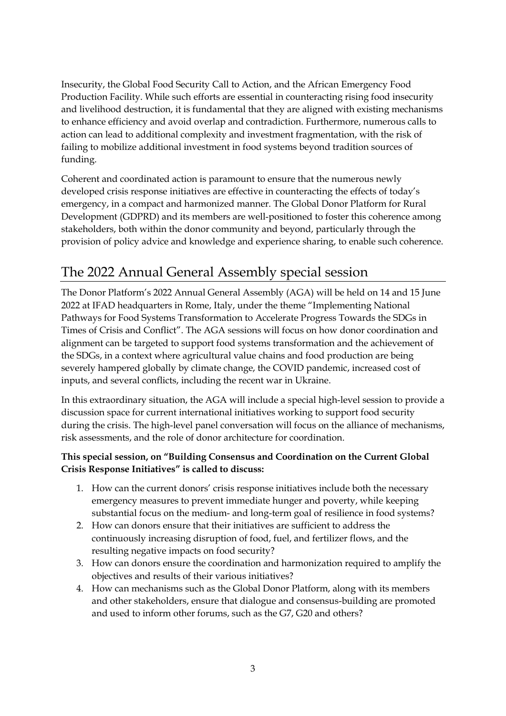Insecurity, the Global Food Security Call to Action, and the African Emergency Food Production Facility. While such efforts are essential in counteracting rising food insecurity and livelihood destruction, it is fundamental that they are aligned with existing mechanisms to enhance efficiency and avoid overlap and contradiction. Furthermore, numerous calls to action can lead to additional complexity and investment fragmentation, with the risk of failing to mobilize additional investment in food systems beyond tradition sources of funding.

Coherent and coordinated action is paramount to ensure that the numerous newly developed crisis response initiatives are effective in counteracting the effects of today's emergency, in a compact and harmonized manner. The Global Donor Platform for Rural Development (GDPRD) and its members are well-positioned to foster this coherence among stakeholders, both within the donor community and beyond, particularly through the provision of policy advice and knowledge and experience sharing, to enable such coherence.

#### The 2022 Annual General Assembly special session

The Donor Platform's 2022 Annual General Assembly (AGA) will be held on 14 and 15 June 2022 at IFAD headquarters in Rome, Italy, under the theme "Implementing National Pathways for Food Systems Transformation to Accelerate Progress Towards the SDGs in Times of Crisis and Conflict". The AGA sessions will focus on how donor coordination and alignment can be targeted to support food systems transformation and the achievement of the SDGs, in a context where agricultural value chains and food production are being severely hampered globally by climate change, the COVID pandemic, increased cost of inputs, and several conflicts, including the recent war in Ukraine.

In this extraordinary situation, the AGA will include a special high-level session to provide a discussion space for current international initiatives working to support food security during the crisis. The high-level panel conversation will focus on the alliance of mechanisms, risk assessments, and the role of donor architecture for coordination.

#### **This special session, on "Building Consensus and Coordination on the Current Global Crisis Response Initiatives" is called to discuss:**

- 1. How can the current donors' crisis response initiatives include both the necessary emergency measures to prevent immediate hunger and poverty, while keeping substantial focus on the medium- and long-term goal of resilience in food systems?
- 2. How can donors ensure that their initiatives are sufficient to address the continuously increasing disruption of food, fuel, and fertilizer flows, and the resulting negative impacts on food security?
- 3. How can donors ensure the coordination and harmonization required to amplify the objectives and results of their various initiatives?
- 4. How can mechanisms such as the Global Donor Platform, along with its members and other stakeholders, ensure that dialogue and consensus-building are promoted and used to inform other forums, such as the G7, G20 and others?